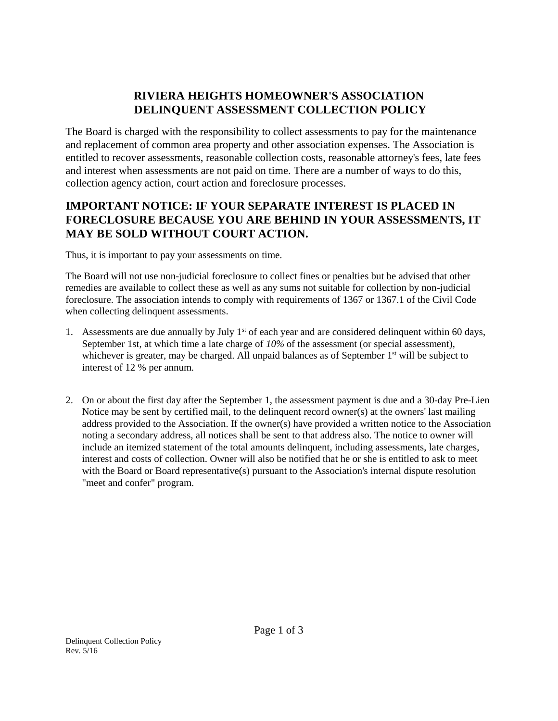## **RIVIERA HEIGHTS HOMEOWNER'S ASSOCIATION DELINQUENT ASSESSMENT COLLECTION POLICY**

The Board is charged with the responsibility to collect assessments to pay for the maintenance and replacement of common area property and other association expenses. The Association is entitled to recover assessments, reasonable collection costs, reasonable attorney's fees, late fees and interest when assessments are not paid on time. There are a number of ways to do this, collection agency action, court action and foreclosure processes.

## **IMPORTANT NOTICE: IF YOUR SEPARATE INTEREST IS PLACED IN FORECLOSURE BECAUSE YOU ARE BEHIND IN YOUR ASSESSMENTS, IT MAY BE SOLD WITHOUT COURT ACTION.**

Thus, it is important to pay your assessments on time.

The Board will not use non-judicial foreclosure to collect fines or penalties but be advised that other remedies are available to collect these as well as any sums not suitable for collection by non-judicial foreclosure. The association intends to comply with requirements of 1367 or 1367.1 of the Civil Code when collecting delinquent assessments.

- 1. Assessments are due annually by July  $1<sup>st</sup>$  of each year and are considered delinquent within 60 days, September 1st, at which time a late charge of *10%* of the assessment (or special assessment), whichever is greater, may be charged. All unpaid balances as of September 1<sup>st</sup> will be subject to interest of 12 % per annum.
- 2. On or about the first day after the September 1, the assessment payment is due and a 30-day Pre-Lien Notice may be sent by certified mail, to the delinquent record owner(s) at the owners' last mailing address provided to the Association. If the owner(s) have provided a written notice to the Association noting a secondary address, all notices shall be sent to that address also. The notice to owner will include an itemized statement of the total amounts delinquent, including assessments, late charges, interest and costs of collection. Owner will also be notified that he or she is entitled to ask to meet with the Board or Board representative(s) pursuant to the Association's internal dispute resolution "meet and confer" program.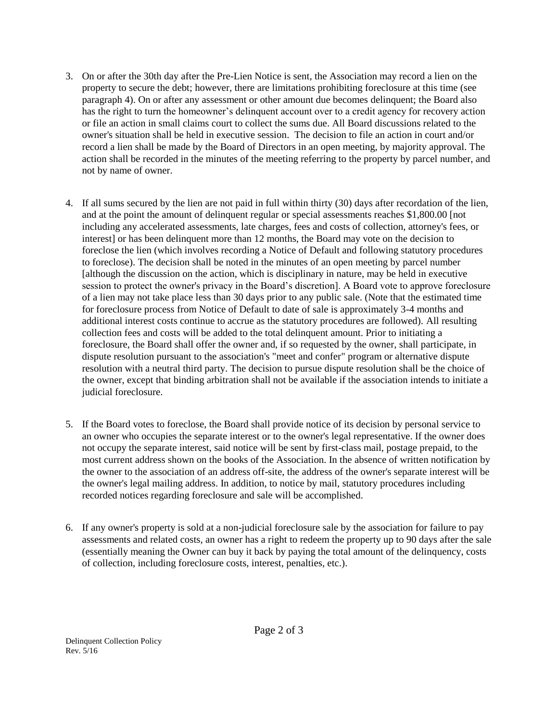- 3. On or after the 30th day after the Pre-Lien Notice is sent, the Association may record a lien on the property to secure the debt; however, there are limitations prohibiting foreclosure at this time (see paragraph 4). On or after any assessment or other amount due becomes delinquent; the Board also has the right to turn the homeowner's delinquent account over to a credit agency for recovery action or file an action in small claims court to collect the sums due. All Board discussions related to the owner's situation shall be held in executive session. The decision to file an action in court and/or record a lien shall be made by the Board of Directors in an open meeting, by majority approval. The action shall be recorded in the minutes of the meeting referring to the property by parcel number, and not by name of owner.
- 4. If all sums secured by the lien are not paid in full within thirty (30) days after recordation of the lien, and at the point the amount of delinquent regular or special assessments reaches \$1,800.00 [not including any accelerated assessments, late charges, fees and costs of collection, attorney's fees, or interest] or has been delinquent more than 12 months, the Board may vote on the decision to foreclose the lien (which involves recording a Notice of Default and following statutory procedures to foreclose). The decision shall be noted in the minutes of an open meeting by parcel number [although the discussion on the action, which is disciplinary in nature, may be held in executive session to protect the owner's privacy in the Board's discretion]. A Board vote to approve foreclosure of a lien may not take place less than 30 days prior to any public sale. (Note that the estimated time for foreclosure process from Notice of Default to date of sale is approximately 3-4 months and additional interest costs continue to accrue as the statutory procedures are followed). All resulting collection fees and costs will be added to the total delinquent amount. Prior to initiating a foreclosure, the Board shall offer the owner and, if so requested by the owner, shall participate, in dispute resolution pursuant to the association's "meet and confer" program or alternative dispute resolution with a neutral third party. The decision to pursue dispute resolution shall be the choice of the owner, except that binding arbitration shall not be available if the association intends to initiate a judicial foreclosure.
- 5. If the Board votes to foreclose, the Board shall provide notice of its decision by personal service to an owner who occupies the separate interest or to the owner's legal representative. If the owner does not occupy the separate interest, said notice will be sent by first-class mail, postage prepaid, to the most current address shown on the books of the Association. In the absence of written notification by the owner to the association of an address off-site, the address of the owner's separate interest will be the owner's legal mailing address. In addition, to notice by mail, statutory procedures including recorded notices regarding foreclosure and sale will be accomplished.
- 6. If any owner's property is sold at a non-judicial foreclosure sale by the association for failure to pay assessments and related costs, an owner has a right to redeem the property up to 90 days after the sale (essentially meaning the Owner can buy it back by paying the total amount of the delinquency, costs of collection, including foreclosure costs, interest, penalties, etc.).